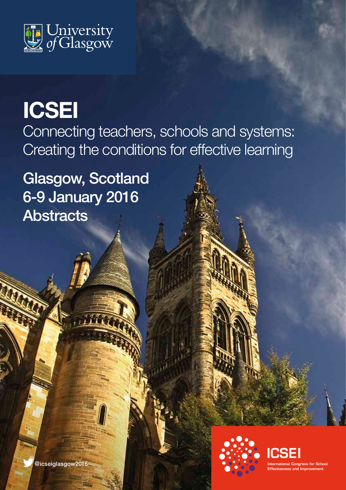

# **ICSEI**

Connecting teachers, schools and systems: Creating the conditions for effective learning

Glasgow, Scotland 6-9 January 2016 **Abstracts** 



ICSEI International Congress for School Effectiveness and Improvement